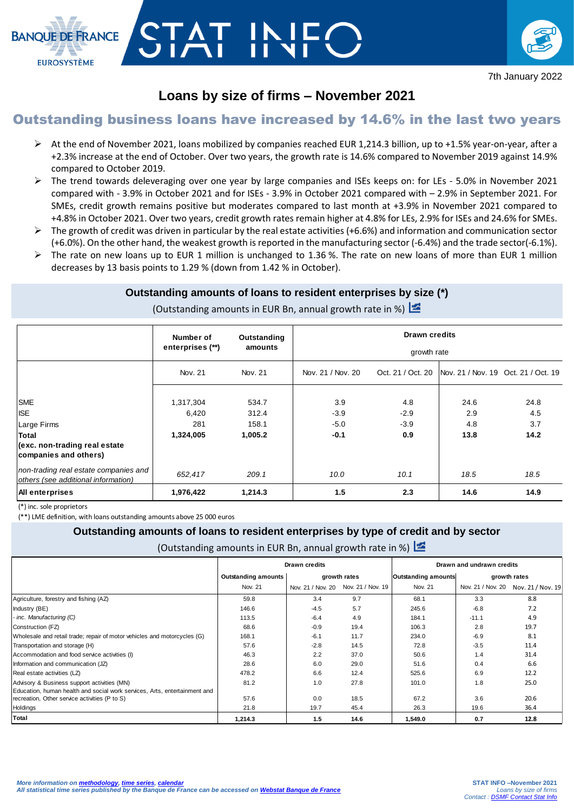



# **Loans by size of firms – November 2021**

# Outstanding business loans have increased by 14.6% in the last two years

- At the end of November 2021, loans mobilized by companies reached EUR 1,214.3 billion, up to +1.5% year-on-year, after a +2.3% increase at the end of October. Over two years, the growth rate is 14.6% compared to November 2019 against 14.9% compared to October 2019.
- $\triangleright$  The trend towards deleveraging over one year by large companies and ISEs keeps on: for LEs 5.0% in November 2021 compared with - 3.9% in October 2021 and for ISEs - 3.9% in October 2021 compared with – 2.9% in September 2021. For SMEs, credit growth remains positive but moderates compared to last month at +3.9% in November 2021 compared to +4.8% in October 2021. Over two years, credit growth rates remain higher at 4.8% for LEs, 2.9% for ISEs and 24.6% for SMEs.
- $\triangleright$  The growth of credit was driven in particular by the real estate activities (+6.6%) and information and communication sector (+6.0%). On the other hand, the weakest growth is reported in the manufacturing sector (-6.4%) and the trade sector(-6.1%).
- $\triangleright$  The rate on new loans up to EUR 1 million is unchanged to 1.36%. The rate on new loans of more than EUR 1 million decreases by 13 basis points to 1.29 % (down from 1.42 % in October).

### **Outstanding amounts of loans to resident enterprises by size (\*)**

(Outstanding amounts in EUR Bn, annual growth rate in %)

|                                                                              | Number of          | Outstanding      | <b>Drawn credits</b><br>growth rate |               |                                                         |             |  |  |
|------------------------------------------------------------------------------|--------------------|------------------|-------------------------------------|---------------|---------------------------------------------------------|-------------|--|--|
|                                                                              | enterprises (**)   | amounts          |                                     |               |                                                         |             |  |  |
|                                                                              | Nov. 21            | Nov. 21          | Nov. 21 / Nov. 20                   |               | Oct. 21 / Oct. 20   Nov. 21 / Nov. 19 Oct. 21 / Oct. 19 |             |  |  |
| <b>SME</b><br><b>ISE</b>                                                     | 1,317,304<br>6,420 | 534.7<br>312.4   | 3.9<br>$-3.9$                       | 4.8<br>$-2.9$ | 24.6<br>2.9                                             | 24.8<br>4.5 |  |  |
| Large Firms<br>Total                                                         | 281<br>1,324,005   | 158.1<br>1,005.2 | $-5.0$<br>$-0.1$                    | $-3.9$<br>0.9 | 4.8<br>13.8                                             | 3.7<br>14.2 |  |  |
| (exc. non-trading real estate<br>companies and others)                       |                    |                  |                                     |               |                                                         |             |  |  |
| non-trading real estate companies and<br>others (see additional information) | 652,417            | 209.1            | 10.0                                | 10.1          | 18.5                                                    | 18.5        |  |  |
| <b>All enterprises</b>                                                       | 1,976,422          | 1,214.3          | 1.5                                 | 2.3           | 14.6                                                    | 14.9        |  |  |

(\*) inc. sole proprietors

(\*\*) LME definition, with loans outstanding amounts above 25 000 euros

#### **Outstanding amounts of loans to resident enterprises by type of credit and by sector**

(Outstanding amounts in EUR Bn, annual growth rate in %)

|                                                                           |                            | <b>Drawn credits</b>                |      | Drawn and undrawn credits  |              |                                     |  |
|---------------------------------------------------------------------------|----------------------------|-------------------------------------|------|----------------------------|--------------|-------------------------------------|--|
|                                                                           | <b>Outstanding amounts</b> | growth rates                        |      | <b>Outstanding amounts</b> | growth rates |                                     |  |
|                                                                           | Nov. 21                    | Nov. 21 / Nov. 20 Nov. 21 / Nov. 19 |      | Nov. 21                    |              | Nov. 21 / Nov. 20 Nov. 21 / Nov. 19 |  |
| Agriculture, forestry and fishing (AZ)                                    | 59.8                       | 3.4                                 | 9.7  | 68.1                       | 3.3          | 8.8                                 |  |
| Industry (BE)                                                             | 146.6                      | $-4.5$                              | 5.7  | 245.6                      | $-6.8$       | 7.2                                 |  |
| - inc. Manufacturing (C)                                                  | 113.5                      | $-6.4$                              | 4.9  | 184.1                      | $-11.1$      | 4.9                                 |  |
| Construction (FZ)                                                         | 68.6                       | $-0.9$                              | 19.4 | 106.3                      | 2.8          | 19.7                                |  |
| Wholesale and retail trade; repair of motor vehicles and motorcycles (G)  | 168.1                      | $-6.1$                              | 11.7 | 234.0                      | $-6.9$       | 8.1                                 |  |
| Transportation and storage (H)                                            | 57.6                       | $-2.8$                              | 14.5 | 72.8                       | $-3.5$       | 11.4                                |  |
| Accommodation and food service activities (I)                             | 46.3                       | 2.2                                 | 37.0 | 50.6                       | 1.4          | 31.4                                |  |
| Information and communication (JZ)                                        | 28.6                       | 6.0                                 | 29.0 | 51.6                       | 0.4          | 6.6                                 |  |
| Real estate activities (LZ)                                               | 478.2                      | 6.6                                 | 12.4 | 525.6                      | 6.9          | 12.2                                |  |
| Advisory & Business support activities (MN)                               | 81.2                       | 1.0                                 | 27.8 | 101.0                      | 1.8          | 25.0                                |  |
| Education, human health and social work services, Arts, entertainment and |                            |                                     |      |                            |              |                                     |  |
| recreation, Other service activities (P to S)                             | 57.6                       | 0.0                                 | 18.5 | 67.2                       | 3.6          | 20.6                                |  |
| Holdings                                                                  | 21.8                       | 19.7                                | 45.4 | 26.3                       | 19.6         | 36.4                                |  |
| Total                                                                     | 1.214.3                    | 1.5                                 | 14.6 | 1.549.0                    | 0.7          | 12.8                                |  |